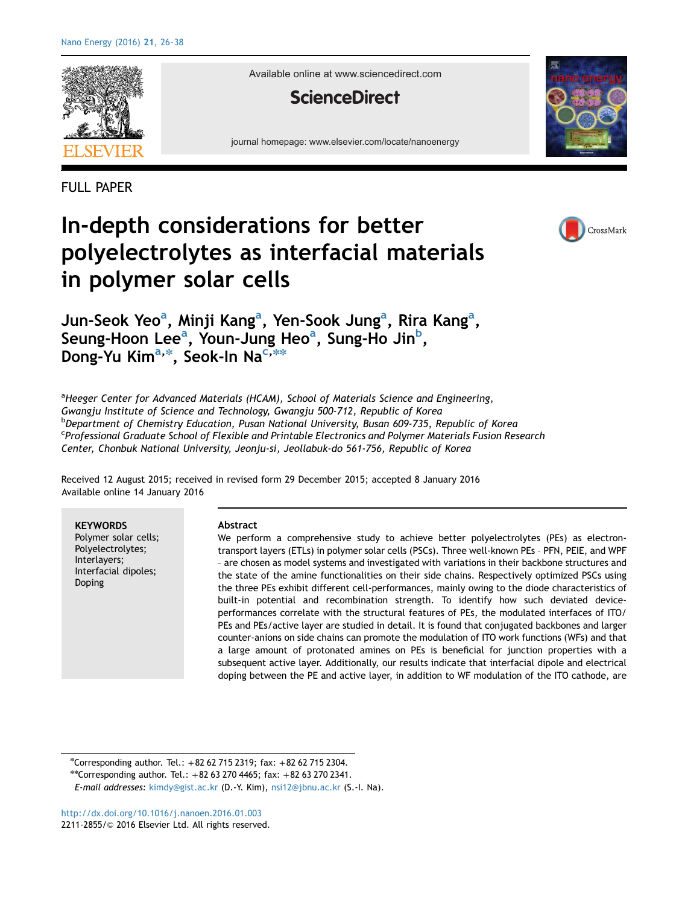

Available online at www.sciencedirect.com

### **ScienceDirect**

journal homepage: www.elsevier.com/locate/nanoenergy





FULL PAPER

# In-depth considerations for better polyelectrolytes as interfacial materials in polymer solar cells



### Jun-Seok Yeo<sup>a</sup>, Minji Kang<sup>a</sup>, Yen-Sook Jung<sup>a</sup>, Rira Kang<sup>a</sup>, Seung-Hoon Lee<sup>a</sup>, Youn-Jung Heo<sup>a</sup>, Sung-Ho Jin<sup>b</sup>, Dong-Yu Kim<sup>a,\*</sup>, Seok-In Na<sup>c,\*\*</sup>

<sup>a</sup>Heeger Center for Advanced Materials (HCAM), School of Materials Science and Engineering, Gwangju Institute of Science and Technology, Gwangju 500-712, Republic of Korea <sup>b</sup>Department of Chemistry Education, Pusan National University, Busan 609-735, Republic of Korea <sup>c</sup>Professional Graduate School of Flexible and Printable Electronics and Polymer Materials Fusion Research Center, Chonbuk National University, Jeonju-si, Jeollabuk-do 561-756, Republic of Korea

Received 12 August 2015; received in revised form 29 December 2015; accepted 8 January 2016 Available online 14 January 2016

**KEYWORDS** Polymer solar cells; Polyelectrolytes; Interlayers; Interfacial dipoles; Doping

#### Abstract

We perform a comprehensive study to achieve better polyelectrolytes (PEs) as electrontransport layers (ETLs) in polymer solar cells (PSCs). Three well-known PEs – PFN, PEIE, and WPF – are chosen as model systems and investigated with variations in their backbone structures and the state of the amine functionalities on their side chains. Respectively optimized PSCs using the three PEs exhibit different cell-performances, mainly owing to the diode characteristics of built-in potential and recombination strength. To identify how such deviated deviceperformances correlate with the structural features of PEs, the modulated interfaces of ITO/ PEs and PEs/active layer are studied in detail. It is found that conjugated backbones and larger counter-anions on side chains can promote the modulation of ITO work functions (WFs) and that a large amount of protonated amines on PEs is beneficial for junction properties with a subsequent active layer. Additionally, our results indicate that interfacial dipole and electrical doping between the PE and active layer, in addition to WF modulation of the ITO cathode, are

n Corresponding author. Tel.: +82 62 715 2319; fax: +82 62 715 2304.

\*\* Corresponding author. Tel.:  $+82$  63 270 4465; fax:  $+82$  63 270 2341.

E-mail addresses: [kimdy@gist.ac.kr](mailto:kimdy@gist.ac.kr) (D.-Y. Kim), [nsi12@jbnu.ac.kr](mailto:nsi12@jbnu.ac.kr) (S.-I. Na).

<http://dx.doi.org/10.1016/j.nanoen.2016.01.003> 2211-2855/© [2016 Elsevier Ltd. All rights reserved.](http://dx.doi.org/10.1016/j.nanoen.2016.01.003)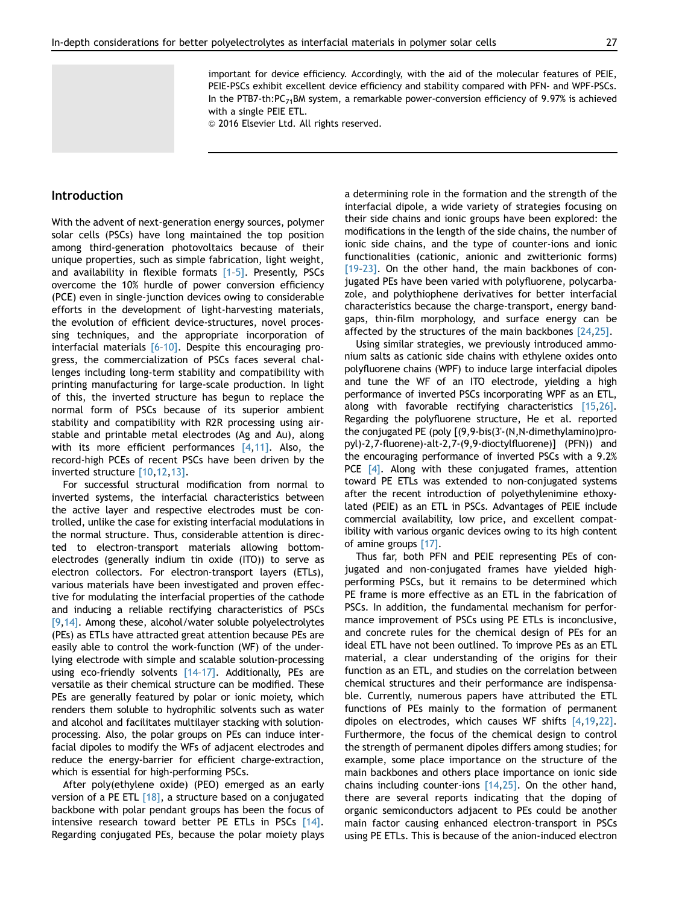important for device efficiency. Accordingly, with the aid of the molecular features of PEIE, PEIE-PSCs exhibit excellent device efficiency and stability compared with PFN- and WPF-PSCs. In the PTB7-th: $PC_{71}$ BM system, a remarkable power-conversion efficiency of 9.97% is achieved with a single PEIE ETL.

 $@$  2016 Elsevier Ltd. All rights reserved.

#### Introduction

With the advent of next-generation energy sources, polymer solar cells (PSCs) have long maintained the top position among third-generation photovoltaics because of their unique properties, such as simple fabrication, light weight, and availability in flexible formats [1–5]. Presently, PSCs overcome the 10% hurdle of power conversion efficiency (PCE) even in single-junction devices owing to considerable efforts in the development of light-harvesting materials, the evolution of efficient device-structures, novel processing techniques, and the appropriate incorporation of interfacial materials [6–10]. Despite this encouraging progress, the commercialization of PSCs faces several challenges including long-term stability and compatibility with printing manufacturing for large-scale production. In light of this, the inverted structure has begun to replace the normal form of PSCs because of its superior ambient stability and compatibility with R2R processing using airstable and printable metal electrodes (Ag and Au), along with its more efficient performances [4,11]. Also, the record-high PCEs of recent PSCs have been driven by the inverted structure [10,12,13].

For successful structural modification from normal to inverted systems, the interfacial characteristics between the active layer and respective electrodes must be controlled, unlike the case for existing interfacial modulations in the normal structure. Thus, considerable attention is directed to electron-transport materials allowing bottomelectrodes (generally indium tin oxide (ITO)) to serve as electron collectors. For electron-transport layers (ETLs), various materials have been investigated and proven effective for modulating the interfacial properties of the cathode and inducing a reliable rectifying characteristics of PSCs [9,14]. Among these, alcohol/water soluble polyelectrolytes (PEs) as ETLs have attracted great attention because PEs are easily able to control the work-function (WF) of the underlying electrode with simple and scalable solution-processing using eco-friendly solvents [14-17]. Additionally, PEs are versatile as their chemical structure can be modified. These PEs are generally featured by polar or ionic moiety, which renders them soluble to hydrophilic solvents such as water and alcohol and facilitates multilayer stacking with solutionprocessing. Also, the polar groups on PEs can induce interfacial dipoles to modify the WFs of adjacent electrodes and reduce the energy-barrier for efficient charge-extraction, which is essential for high-performing PSCs.

After poly(ethylene oxide) (PEO) emerged as an early version of a PE ETL  $[18]$ , a structure based on a conjugated backbone with polar pendant groups has been the focus of intensive research toward better PE ETLs in PSCs [14]. Regarding conjugated PEs, because the polar moiety plays a determining role in the formation and the strength of the interfacial dipole, a wide variety of strategies focusing on their side chains and ionic groups have been explored: the modifications in the length of the side chains, the number of ionic side chains, and the type of counter-ions and ionic functionalities (cationic, anionic and zwitterionic forms) [19-23]. On the other hand, the main backbones of conjugated PEs have been varied with polyfluorene, polycarbazole, and polythiophene derivatives for better interfacial characteristics because the charge-transport, energy bandgaps, thin-film morphology, and surface energy can be affected by the structures of the main backbones [24,25].

Using similar strategies, we previously introduced ammonium salts as cationic side chains with ethylene oxides onto polyfluorene chains (WPF) to induce large interfacial dipoles and tune the WF of an ITO electrode, yielding a high performance of inverted PSCs incorporating WPF as an ETL, along with favorable rectifying characteristics [15,26]. Regarding the polyfluorene structure, He et al. reported the conjugated PE (poly [(9,9-bis(3'-(N,N-dimethylamino)propyl)-2,7-fluorene)-alt-2,7-(9,9-dioctylfluorene)] (PFN)) and the encouraging performance of inverted PSCs with a 9.2% PCE  $[4]$ . Along with these conjugated frames, attention toward PE ETLs was extended to non-conjugated systems after the recent introduction of polyethylenimine ethoxylated (PEIE) as an ETL in PSCs. Advantages of PEIE include commercial availability, low price, and excellent compatibility with various organic devices owing to its high content of amine groups [17].

Thus far, both PFN and PEIE representing PEs of conjugated and non-conjugated frames have yielded highperforming PSCs, but it remains to be determined which PE frame is more effective as an ETL in the fabrication of PSCs. In addition, the fundamental mechanism for performance improvement of PSCs using PE ETLs is inconclusive, and concrete rules for the chemical design of PEs for an ideal ETL have not been outlined. To improve PEs as an ETL material, a clear understanding of the origins for their function as an ETL, and studies on the correlation between chemical structures and their performance are indispensable. Currently, numerous papers have attributed the ETL functions of PEs mainly to the formation of permanent dipoles on electrodes, which causes WF shifts [4,19,22]. Furthermore, the focus of the chemical design to control the strength of permanent dipoles differs among studies; for example, some place importance on the structure of the main backbones and others place importance on ionic side chains including counter-ions [14,25]. On the other hand, there are several reports indicating that the doping of organic semiconductors adjacent to PEs could be another main factor causing enhanced electron-transport in PSCs using PE ETLs. This is because of the anion-induced electron